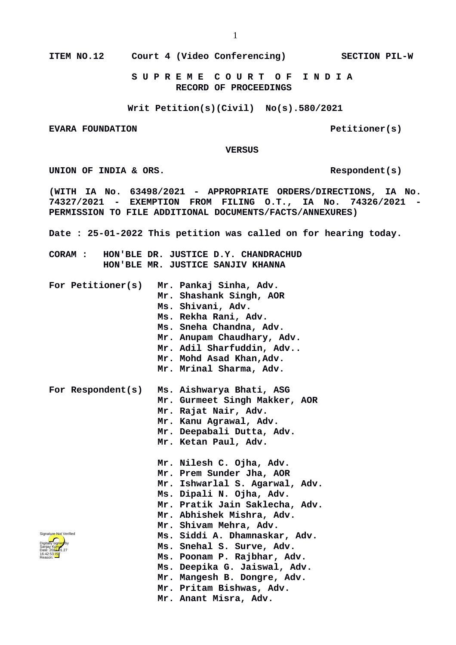**ITEM NO.12 Court 4 (Video Conferencing) SECTION PIL-W**

 **S U P R E M E C O U R T O F I N D I A RECORD OF PROCEEDINGS**

**Writ Petition(s)(Civil) No(s).580/2021**

**EVARA FOUNDATION Petitioner(s)** 

 **VERSUS**

UNION OF INDIA & ORS.

**(WITH IA No. 63498/2021 - APPROPRIATE ORDERS/DIRECTIONS, IA No. 74327/2021 - EXEMPTION FROM FILING O.T., IA No. 74326/2021 - PERMISSION TO FILE ADDITIONAL DOCUMENTS/FACTS/ANNEXURES)**

**Date : 25-01-2022 This petition was called on for hearing today.**

**CORAM : HON'BLE DR. JUSTICE D.Y. CHANDRACHUD HON'BLE MR. JUSTICE SANJIV KHANNA**

| For Petitioner(s)                                                                                           | Mr. Pankaj Sinha, Adv.<br>Mr. Shashank Singh, AOR<br>Ms. Shivani, Adv.<br>Ms. Rekha Rani, Adv.<br>Ms. Sneha Chandna, Adv.<br>Mr. Anupam Chaudhary, Adv.<br>Mr. Adil Sharfuddin, Adv<br>Mr. Mohd Asad Khan, Adv.<br>Mr. Mrinal Sharma, Adv.                                                                                                                                                          |
|-------------------------------------------------------------------------------------------------------------|-----------------------------------------------------------------------------------------------------------------------------------------------------------------------------------------------------------------------------------------------------------------------------------------------------------------------------------------------------------------------------------------------------|
| For Respondent(s)                                                                                           | Ms. Aishwarya Bhati, ASG<br>Mr. Gurmeet Singh Makker, AOR<br>Mr. Rajat Nair, Adv.<br>Mr. Kanu Agrawal, Adv.<br>Mr. Deepabali Dutta, Adv.<br>Mr. Ketan Paul, Adv.                                                                                                                                                                                                                                    |
| nature Not Verified<br>itally signed by<br>ijay Kumat<br>:e: 202 <del>2.</del> 01.27<br>42:53 <sup>1S</sup> | Mr. Nilesh C. Ojha, Adv.<br>Mr. Prem Sunder Jha, AOR<br>Mr. Ishwarlal S. Agarwal, Adv.<br>Ms. Dipali N. Ojha, Adv.<br>Mr. Pratik Jain Saklecha, Adv.<br>Mr. Abhishek Mishra, Adv.<br>Mr. Shivam Mehra, Adv.<br>Ms. Siddi A. Dhamnaskar, Adv.<br>Ms. Snehal S. Surve, Adv.<br>Ms. Poonam P. Rajbhar, Adv.<br>Ms. Deepika G. Jaiswal, Adv.<br>Mr. Mangesh B. Dongre, Adv.<br>Mr. Pritam Bishwas, Adv. |

**Mr. Anant Misra, Adv.**

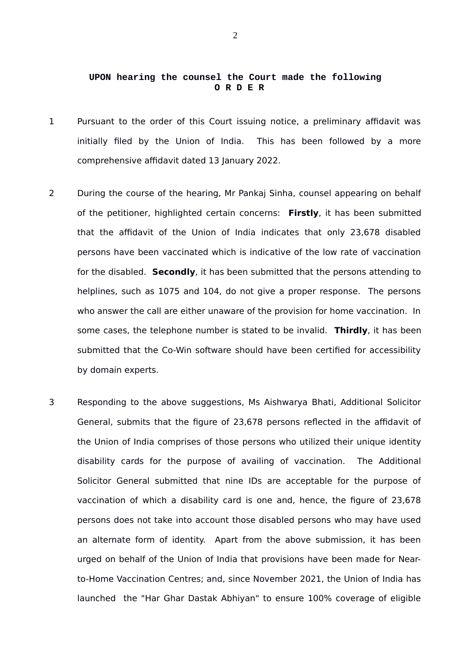## **UPON hearing the counsel the Court made the following O R D E R**

- 1 Pursuant to the order of this Court issuing notice, a preliminary affidavit was initially filed by the Union of India. This has been followed by a more comprehensive affidavit dated 13 January 2022.
- 2 During the course of the hearing, Mr Pankaj Sinha, counsel appearing on behalf of the petitioner, highlighted certain concerns: **Firstly**, it has been submitted that the affidavit of the Union of India indicates that only 23,678 disabled persons have been vaccinated which is indicative of the low rate of vaccination for the disabled. **Secondly**, it has been submitted that the persons attending to helplines, such as 1075 and 104, do not give a proper response. The persons who answer the call are either unaware of the provision for home vaccination. In some cases, the telephone number is stated to be invalid. **Thirdly**, it has been submitted that the Co-Win software should have been certified for accessibility by domain experts.
- 3 Responding to the above suggestions, Ms Aishwarya Bhati, Additional Solicitor General, submits that the figure of 23,678 persons reflected in the affidavit of the Union of India comprises of those persons who utilized their unique identity disability cards for the purpose of availing of vaccination. The Additional Solicitor General submitted that nine IDs are acceptable for the purpose of vaccination of which a disability card is one and, hence, the figure of 23,678 persons does not take into account those disabled persons who may have used an alternate form of identity. Apart from the above submission, it has been urged on behalf of the Union of India that provisions have been made for Nearto-Home Vaccination Centres; and, since November 2021, the Union of India has launched the "Har Ghar Dastak Abhiyan" to ensure 100% coverage of eligible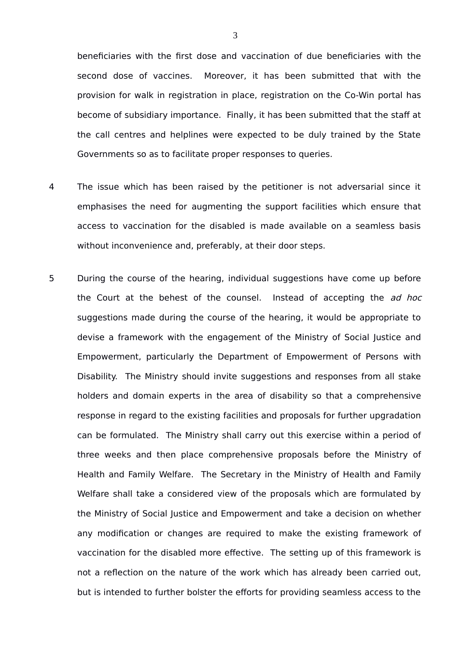beneficiaries with the first dose and vaccination of due beneficiaries with the second dose of vaccines. Moreover, it has been submitted that with the provision for walk in registration in place, registration on the Co-Win portal has become of subsidiary importance. Finally, it has been submitted that the staff at the call centres and helplines were expected to be duly trained by the State Governments so as to facilitate proper responses to queries.

- 4 The issue which has been raised by the petitioner is not adversarial since it emphasises the need for augmenting the support facilities which ensure that access to vaccination for the disabled is made available on a seamless basis without inconvenience and, preferably, at their door steps.
- 5 During the course of the hearing, individual suggestions have come up before the Court at the behest of the counsel. Instead of accepting the ad hoc suggestions made during the course of the hearing, it would be appropriate to devise a framework with the engagement of the Ministry of Social Justice and Empowerment, particularly the Department of Empowerment of Persons with Disability. The Ministry should invite suggestions and responses from all stake holders and domain experts in the area of disability so that a comprehensive response in regard to the existing facilities and proposals for further upgradation can be formulated. The Ministry shall carry out this exercise within a period of three weeks and then place comprehensive proposals before the Ministry of Health and Family Welfare. The Secretary in the Ministry of Health and Family Welfare shall take a considered view of the proposals which are formulated by the Ministry of Social Justice and Empowerment and take a decision on whether any modification or changes are required to make the existing framework of vaccination for the disabled more effective. The setting up of this framework is not a reflection on the nature of the work which has already been carried out, but is intended to further bolster the efforts for providing seamless access to the